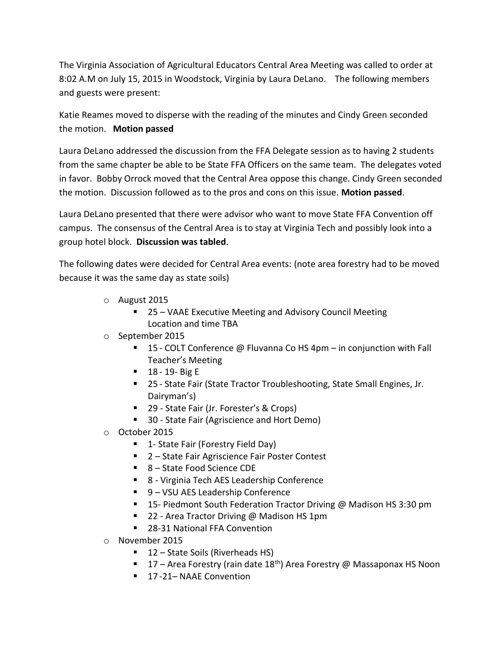The Virginia Association of Agricultural Educators Central Area Meeting was called to order at 8:02 A.M on July 15, 2015 in Woodstock, Virginia by Laura DeLano. The following members and guests were present:

Katie Reames moved to disperse with the reading of the minutes and Cindy Green seconded the motion. **Motion passed**

Laura DeLano addressed the discussion from the FFA Delegate session as to having 2 students from the same chapter be able to be State FFA Officers on the same team. The delegates voted in favor. Bobby Orrock moved that the Central Area oppose this change. Cindy Green seconded the motion. Discussion followed as to the pros and cons on this issue. **Motion passed**.

Laura DeLano presented that there were advisor who want to move State FFA Convention off campus. The consensus of the Central Area is to stay at Virginia Tech and possibly look into a group hotel block. **Discussion was tabled**.

The following dates were decided for Central Area events: (note area forestry had to be moved because it was the same day as state soils)

- o August 2015
	- 25 VAAE Executive Meeting and Advisory Council Meeting Location and time TBA
- o September 2015
	- 15 COLT Conference @ Fluvanna Co HS 4pm in conjunction with Fall Teacher's Meeting
	- **18 19 Big E**
	- 25 State Fair (State Tractor Troubleshooting, State Small Engines, Jr. Dairyman's)
	- 29 State Fair (Jr. Forester's & Crops)
	- 30 State Fair (Agriscience and Hort Demo)
- o October 2015
	- 1- State Fair (Forestry Field Day)
	- 2 State Fair Agriscience Fair Poster Contest
	- 8-State Food Science CDE
	- 8 Virginia Tech AES Leadership Conference
	- 9 VSU AES Leadership Conference
	- 15- Piedmont South Federation Tractor Driving @ Madison HS 3:30 pm
	- 22 Area Tractor Driving @ Madison HS 1pm
	- 28-31 National FFA Convention
- o November 2015
	- 12 State Soils (Riverheads HS)
	- **17** Area Forestry (rain date 18<sup>th</sup>) Area Forestry @ Massaponax HS Noon
	- 17-21– NAAE Convention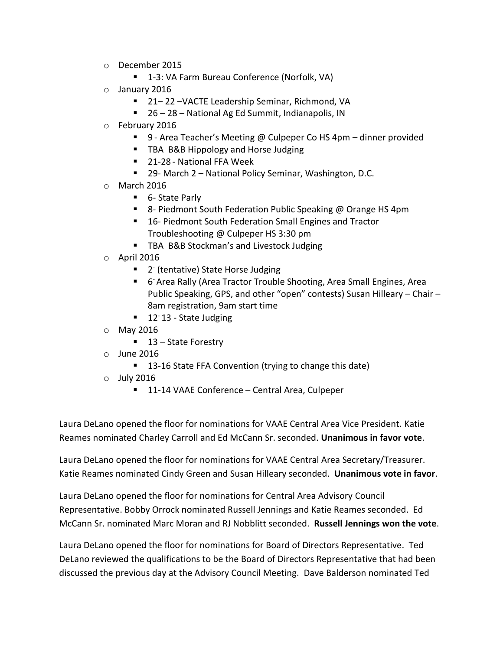- o December 2015
	- 1-3: VA Farm Bureau Conference (Norfolk, VA)
- o January 2016
	- 21–22 VACTE Leadership Seminar, Richmond, VA
	- 26 28 National Ag Ed Summit, Indianapolis, IN
- o February 2016
	- 9 Area Teacher's Meeting @ Culpeper Co HS 4pm dinner provided
	- **TBA B&B Hippology and Horse Judging**
	- 21-28 National FFA Week
	- 29- March 2 National Policy Seminar, Washington, D.C.
- o March 2016
	- 6- State Parly
	- 8- Piedmont South Federation Public Speaking @ Orange HS 4pm
	- 16- Piedmont South Federation Small Engines and Tractor Troubleshooting @ Culpeper HS 3:30 pm
	- **TBA B&B Stockman's and Livestock Judging**
- $\circ$  April 2016
	- 2<sup>-</sup> (tentative) State Horse Judging
	- **F** 6<sup>-</sup> Area Rally (Area Tractor Trouble Shooting, Area Small Engines, Area Public Speaking, GPS, and other "open" contests) Susan Hilleary – Chair – 8am registration, 9am start time
	- $\blacksquare$  12<sup>-</sup> 13 State Judging
- o May 2016
	- 13 State Forestry
- o June 2016
	- 13-16 State FFA Convention (trying to change this date)
- o July 2016
	- 11-14 VAAE Conference Central Area, Culpeper

Laura DeLano opened the floor for nominations for VAAE Central Area Vice President. Katie Reames nominated Charley Carroll and Ed McCann Sr. seconded. **Unanimous in favor vote**.

Laura DeLano opened the floor for nominations for VAAE Central Area Secretary/Treasurer. Katie Reames nominated Cindy Green and Susan Hilleary seconded. **Unanimous vote in favor**.

Laura DeLano opened the floor for nominations for Central Area Advisory Council Representative. Bobby Orrock nominated Russell Jennings and Katie Reames seconded. Ed McCann Sr. nominated Marc Moran and RJ Nobblitt seconded. **Russell Jennings won the vote**.

Laura DeLano opened the floor for nominations for Board of Directors Representative. Ted DeLano reviewed the qualifications to be the Board of Directors Representative that had been discussed the previous day at the Advisory Council Meeting. Dave Balderson nominated Ted